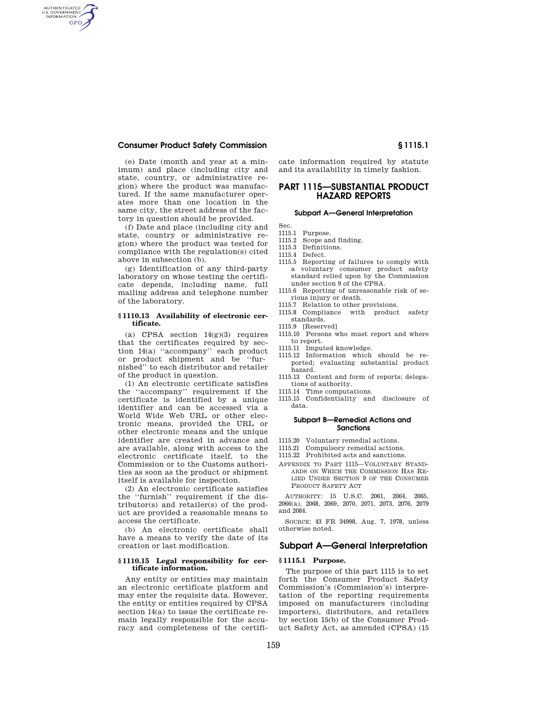## **Consumer Product Safety Commission § 1115.1**

AUTHENTICATED<br>U.S. GOVERNMENT<br>INFORMATION **GPO** 

> (e) Date (month and year at a minimum) and place (including city and state, country, or administrative region) where the product was manufactured. If the same manufacturer operates more than one location in the same city, the street address of the factory in question should be provided.

> (f) Date and place (including city and state, country or administrative region) where the product was tested for compliance with the regulation(s) cited above in subsection (b).

> (g) Identification of any third-party laboratory on whose testing the certificate depends, including name, full mailing address and telephone number of the laboratory.

## **§ 1110.13 Availability of electronic certificate.**

(a) CPSA section  $14(g)(3)$  requires that the certificates required by section 14(a) ''accompany'' each product or product shipment and be ''furnished'' to each distributor and retailer of the product in question.

(1) An electronic certificate satisfies the ''accompany'' requirement if the certificate is identified by a unique identifier and can be accessed via a World Wide Web URL or other electronic means, provided the URL or other electronic means and the unique identifier are created in advance and are available, along with access to the electronic certificate itself, to the Commission or to the Customs authorities as soon as the product or shipment itself is available for inspection.

(2) An electronic certificate satisfies the ''furnish'' requirement if the distributor(s) and retailer(s) of the product are provided a reasonable means to access the certificate.

(b) An electronic certificate shall have a means to verify the date of its creation or last modification.

## **§ 1110.15 Legal responsibility for certificate information.**

Any entity or entities may maintain an electronic certificate platform and may enter the requisite data. However, the entity or entities required by CPSA section 14(a) to issue the certificate remain legally responsible for the accuracy and completeness of the certificate information required by statute and its availability in timely fashion.

# **PART 1115—SUBSTANTIAL PRODUCT HAZARD REPORTS**

#### **Subpart A—General Interpretation**

- Sec.
- 1115.1 Purpose.<br>1115.2 Scope an Scope and finding.
- 1115.3 Definitions.
- 1115.4 Defect.
- 1115.5 Reporting of failures to comply with a voluntary consumer product safety
- standard relied upon by the Commission under section 9 of the CPSA. 1115.6 Reporting of unreasonable risk of se-
- rious injury or death.
- 1115.7 Relation to other provisions.
- 1115.8 Compliance with product safety standards.
- 1115.9 [Reserved]
- 1115.10 Persons who must report and where to report.
- 1115.11 Imputed knowledge.
- 1115.12 Information which should be reported; evaluating substantial product hazard.
- 1115.13 Content and form of reports; delegations of authority.
- 1115.14 Time computations.
- 1115.15 Confidentiality and disclosure of data.

## **Subpart B—Remedial Actions and Sanctions**

- 1115.20 Voluntary remedial actions.<br>1115.21 Compulsory remedial action
- Compulsory remedial actions.
- 1115.22 Prohibited acts and sanctions.
- APPENDIX TO PART 1115—VOLUNTARY STAND-ARDS ON WHICH THE COMMISSION HAS RE-LIED UNDER SECTION 9 OF THE CONSUMER PRODUCT SAFETY ACT

AUTHORITY: 15 U.S.C. 2061, 2064, 2065, 2066(a), 2068, 2069, 2070, 2071, 2073, 2076, 2079 and 2084.

SOURCE: 43 FR 34998, Aug. 7, 1978, unless otherwise noted.

## **Subpart A—General Interpretation**

#### **§ 1115.1 Purpose.**

The purpose of this part 1115 is to set forth the Consumer Product Safety Commission's (Commission's) interpretation of the reporting requirements imposed on manufacturers (including importers), distributors, and retailers by section 15(b) of the Consumer Product Safety Act, as amended (CPSA) (15